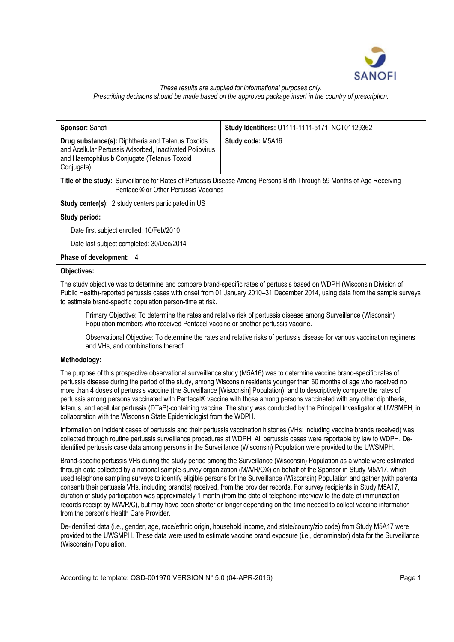

### *These results are supplied for informational purposes only.*

*Prescribing decisions should be made based on the approved package insert in the country of prescription.* 

| Sponsor: Sanofi                                                                                                                                                                                                                                                                                                       | Study Identifiers: U1111-1111-5171, NCT01129362 |
|-----------------------------------------------------------------------------------------------------------------------------------------------------------------------------------------------------------------------------------------------------------------------------------------------------------------------|-------------------------------------------------|
| <b>Drug substance(s): Diphtheria and Tetanus Toxoids</b><br>and Acellular Pertussis Adsorbed, Inactivated Poliovirus<br>and Haemophilus b Conjugate (Tetanus Toxoid<br>Conjugate)                                                                                                                                     | Study code: M5A16                               |
| Title of the study: Surveillance for Rates of Pertussis Disease Among Persons Birth Through 59 Months of Age Receiving<br>Pentacel® or Other Pertussis Vaccines                                                                                                                                                       |                                                 |
| <b>Study center(s):</b> 2 study centers participated in US                                                                                                                                                                                                                                                            |                                                 |
| <b>Study period:</b>                                                                                                                                                                                                                                                                                                  |                                                 |
| Date first subject enrolled: 10/Feb/2010                                                                                                                                                                                                                                                                              |                                                 |
| Date last subject completed: 30/Dec/2014                                                                                                                                                                                                                                                                              |                                                 |
| Phase of development: 4                                                                                                                                                                                                                                                                                               |                                                 |
| <b>Objectives:</b>                                                                                                                                                                                                                                                                                                    |                                                 |
| The study objective was to determine and compare brand-specific rates of pertussis based on WDPH (Wisconsin Division of<br>Public Health)-reported pertussis cases with onset from 01 January 2010-31 December 2014, using data from the sample surveys<br>to estimate brand-specific population person-time at risk. |                                                 |
| Primary Objective: To determine the rates and relative risk of pertussis disease among Surveillance (Wisconsin)<br>Population members who received Pentacel vaccine or another pertussis vaccine.                                                                                                                     |                                                 |
| Observational Objective: To determine the rates and relative risks of pertussis disease for various vaccination regimens<br>and VHs, and combinations thereof.                                                                                                                                                        |                                                 |

### **Methodology:**

The purpose of this prospective observational surveillance study (M5A16) was to determine vaccine brand-specific rates of pertussis disease during the period of the study, among Wisconsin residents younger than 60 months of age who received no more than 4 doses of pertussis vaccine (the Surveillance [Wisconsin] Population), and to descriptively compare the rates of pertussis among persons vaccinated with Pentacel® vaccine with those among persons vaccinated with any other diphtheria, tetanus, and acellular pertussis (DTaP)-containing vaccine. The study was conducted by the Principal Investigator at UWSMPH, in collaboration with the Wisconsin State Epidemiologist from the WDPH.

Information on incident cases of pertussis and their pertussis vaccination histories (VHs; including vaccine brands received) was collected through routine pertussis surveillance procedures at WDPH. All pertussis cases were reportable by law to WDPH. Deidentified pertussis case data among persons in the Surveillance (Wisconsin) Population were provided to the UWSMPH.

Brand-specific pertussis VHs during the study period among the Surveillance (Wisconsin) Population as a whole were estimated through data collected by a national sample-survey organization (M/A/R/C®) on behalf of the Sponsor in Study M5A17, which used telephone sampling surveys to identify eligible persons for the Surveillance (Wisconsin) Population and gather (with parental consent) their pertussis VHs, including brand(s) received, from the provider records. For survey recipients in Study M5A17, duration of study participation was approximately 1 month (from the date of telephone interview to the date of immunization records receipt by M/A/R/C), but may have been shorter or longer depending on the time needed to collect vaccine information from the person's Health Care Provider.

De-identified data (i.e., gender, age, race/ethnic origin, household income, and state/county/zip code) from Study M5A17 were provided to the UWSMPH. These data were used to estimate vaccine brand exposure (i.e., denominator) data for the Surveillance (Wisconsin) Population.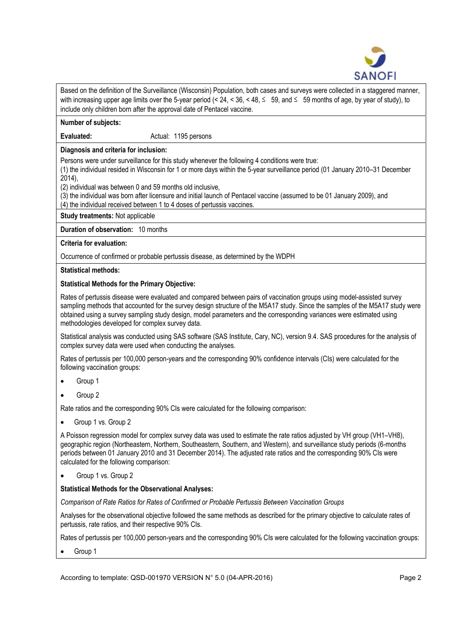

Based on the definition of the Surveillance (Wisconsin) Population, both cases and surveys were collected in a staggered manner, with increasing upper age limits over the 5-year period (< 24, < 36, < 48,  $\leq$  59, and  $\leq$  59 months of age, by year of study), to include only children born after the approval date of Pentacel vaccine. **Number of subjects: Evaluated:** Actual: 1195 persons **Diagnosis and criteria for inclusion:**  Persons were under surveillance for this study whenever the following 4 conditions were true: (1) the individual resided in Wisconsin for 1 or more days within the 5-year surveillance period (01 January 2010–31 December 2014), (2) individual was between 0 and 59 months old inclusive, (3) the individual was born after licensure and initial launch of Pentacel vaccine (assumed to be 01 January 2009), and  $(4)$  the individual received between 1 to 4 doses of pertussis vaccines. **Study treatments:** Not applicable **Duration of observation:** 10 months **Criteria for evaluation:** Occurrence of confirmed or probable pertussis disease, as determined by the WDPH **Statistical methods: Statistical Methods for the Primary Objective:** 

Rates of pertussis disease were evaluated and compared between pairs of vaccination groups using model-assisted survey sampling methods that accounted for the survey design structure of the M5A17 study. Since the samples of the M5A17 study were obtained using a survey sampling study design, model parameters and the corresponding variances were estimated using methodologies developed for complex survey data.

Statistical analysis was conducted using SAS software (SAS Institute, Cary, NC), version 9.4. SAS procedures for the analysis of complex survey data were used when conducting the analyses.

Rates of pertussis per 100,000 person-years and the corresponding 90% confidence intervals (CIs) were calculated for the following vaccination groups:

- Group 1
- Group 2

Rate ratios and the corresponding 90% CIs were calculated for the following comparison:

Group 1 vs. Group 2

A Poisson regression model for complex survey data was used to estimate the rate ratios adjusted by VH group (VH1–VH8), geographic region (Northeastern, Northern, Southeastern, Southern, and Western), and surveillance study periods (6-months periods between 01 January 2010 and 31 December 2014). The adjusted rate ratios and the corresponding 90% CIs were calculated for the following comparison:

• Group 1 vs. Group 2

# **Statistical Methods for the Observational Analyses:**

*Comparison of Rate Ratios for Rates of Confirmed or Probable Pertussis Between Vaccination Groups* 

Analyses for the observational objective followed the same methods as described for the primary objective to calculate rates of pertussis, rate ratios, and their respective 90% CIs.

Rates of pertussis per 100,000 person-years and the corresponding 90% CIs were calculated for the following vaccination groups:

Group 1

According to template: QSD-001970 VERSION N° 5.0 (04-APR-2016) Page 2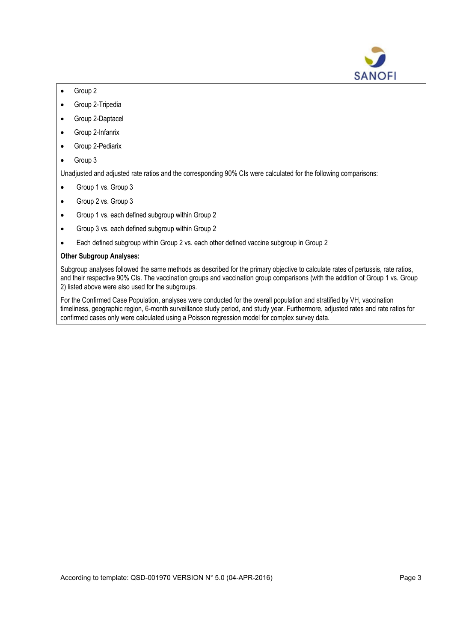

- Group 2
- **•** Group 2-Tripedia
- Group 2-Daptacel
- Group 2-Infanrix
- Group 2-Pediarix
- Group 3

Unadjusted and adjusted rate ratios and the corresponding 90% CIs were calculated for the following comparisons:

- Group 1 vs. Group 3
- Group 2 vs. Group 3
- Group 1 vs. each defined subgroup within Group 2
- Group 3 vs. each defined subgroup within Group 2
- Each defined subgroup within Group 2 vs. each other defined vaccine subgroup in Group 2

#### **Other Subgroup Analyses:**

Subgroup analyses followed the same methods as described for the primary objective to calculate rates of pertussis, rate ratios, and their respective 90% CIs. The vaccination groups and vaccination group comparisons (with the addition of Group 1 vs. Group 2) listed above were also used for the subgroups.

For the Confirmed Case Population, analyses were conducted for the overall population and stratified by VH, vaccination timeliness, geographic region, 6-month surveillance study period, and study year. Furthermore, adjusted rates and rate ratios for confirmed cases only were calculated using a Poisson regression model for complex survey data.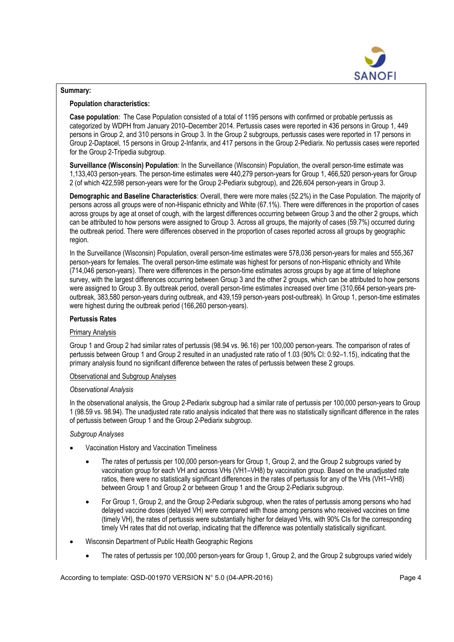

### **Summary:**

### **Population characteristics:**

**Case population**: The Case Population consisted of a total of 1195 persons with confirmed or probable pertussis as categorized by WDPH from January 2010–December 2014. Pertussis cases were reported in 436 persons in Group 1, 449 persons in Group 2, and 310 persons in Group 3. In the Group 2 subgroups, pertussis cases were reported in 17 persons in Group 2-Daptacel, 15 persons in Group 2-Infanrix, and 417 persons in the Group 2-Pediarix. No pertussis cases were reported for the Group 2-Tripedia subgroup.

**Surveillance (Wisconsin) Population**: In the Surveillance (Wisconsin) Population, the overall person-time estimate was 1,133,403 person-years. The person-time estimates were 440,279 person-years for Group 1, 466,520 person-years for Group 2 (of which 422,598 person-years were for the Group 2-Pediarix subgroup), and 226,604 person-years in Group 3.

**Demographic and Baseline Characteristics**: Overall, there were more males (52.2%) in the Case Population. The majority of persons across all groups were of non-Hispanic ethnicity and White (67.1%). There were differences in the proportion of cases across groups by age at onset of cough, with the largest differences occurring between Group 3 and the other 2 groups, which can be attributed to how persons were assigned to Group 3. Across all groups, the majority of cases (59.7%) occurred during the outbreak period. There were differences observed in the proportion of cases reported across all groups by geographic region.

In the Surveillance (Wisconsin) Population, overall person-time estimates were 578,036 person-years for males and 555,367 person-years for females. The overall person-time estimate was highest for persons of non-Hispanic ethnicity and White (714,046 person-years). There were differences in the person-time estimates across groups by age at time of telephone survey, with the largest differences occurring between Group 3 and the other 2 groups, which can be attributed to how persons were assigned to Group 3. By outbreak period, overall person-time estimates increased over time (310,664 person-years preoutbreak, 383,580 person-years during outbreak, and 439,159 person-years post-outbreak). In Group 1, person-time estimates were highest during the outbreak period (166,260 person-years).

## **Pertussis Rates**

### Primary Analysis

Group 1 and Group 2 had similar rates of pertussis (98.94 vs. 96.16) per 100,000 person-years. The comparison of rates of pertussis between Group 1 and Group 2 resulted in an unadjusted rate ratio of 1.03 (90% CI: 0.92–1.15), indicating that the primary analysis found no significant difference between the rates of pertussis between these 2 groups.

### Observational and Subgroup Analyses

### *Observational Analysis*

In the observational analysis, the Group 2-Pediarix subgroup had a similar rate of pertussis per 100,000 person-years to Group 1 (98.59 vs. 98.94). The unadjusted rate ratio analysis indicated that there was no statistically significant difference in the rates of pertussis between Group 1 and the Group 2-Pediarix subgroup.

### *Subgroup Analyses*

- Vaccination History and Vaccination Timeliness
	- The rates of pertussis per 100,000 person-years for Group 1, Group 2, and the Group 2 subgroups varied by vaccination group for each VH and across VHs (VH1–VH8) by vaccination group. Based on the unadjusted rate ratios, there were no statistically significant differences in the rates of pertussis for any of the VHs (VH1–VH8) between Group 1 and Group 2 or between Group 1 and the Group 2-Pediarix subgroup.
	- For Group 1, Group 2, and the Group 2-Pediarix subgroup, when the rates of pertussis among persons who had delayed vaccine doses (delayed VH) were compared with those among persons who received vaccines on time (timely VH), the rates of pertussis were substantially higher for delayed VHs, with 90% CIs for the corresponding timely VH rates that did not overlap, indicating that the difference was potentially statistically significant.
- Wisconsin Department of Public Health Geographic Regions
	- The rates of pertussis per 100,000 person-years for Group 1, Group 2, and the Group 2 subgroups varied widely

According to template: QSD-001970 VERSION N° 5.0 (04-APR-2016) Page 4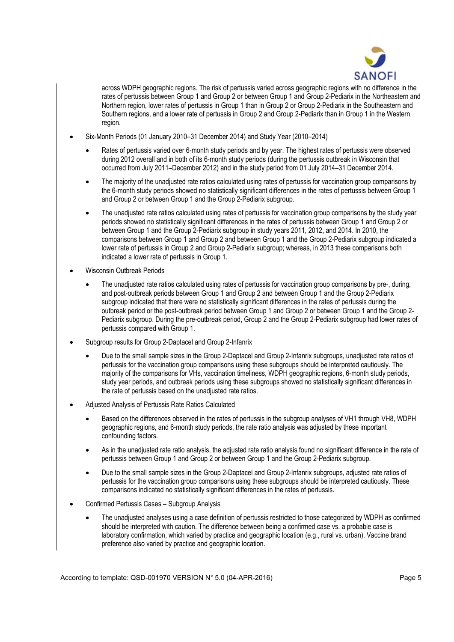

across WDPH geographic regions. The risk of pertussis varied across geographic regions with no difference in the rates of pertussis between Group 1 and Group 2 or between Group 1 and Group 2-Pediarix in the Northeastern and Northern region, lower rates of pertussis in Group 1 than in Group 2 or Group 2-Pediarix in the Southeastern and Southern regions, and a lower rate of pertussis in Group 2 and Group 2-Pediarix than in Group 1 in the Western region.

- Six-Month Periods (01 January 2010–31 December 2014) and Study Year (2010–2014)
	- Rates of pertussis varied over 6-month study periods and by year. The highest rates of pertussis were observed during 2012 overall and in both of its 6-month study periods (during the pertussis outbreak in Wisconsin that occurred from July 2011–December 2012) and in the study period from 01 July 2014–31 December 2014.
	- The majority of the unadjusted rate ratios calculated using rates of pertussis for vaccination group comparisons by the 6-month study periods showed no statistically significant differences in the rates of pertussis between Group 1 and Group 2 or between Group 1 and the Group 2-Pediarix subgroup.
	- The unadjusted rate ratios calculated using rates of pertussis for vaccination group comparisons by the study year periods showed no statistically significant differences in the rates of pertussis between Group 1 and Group 2 or between Group 1 and the Group 2-Pediarix subgroup in study years 2011, 2012, and 2014. In 2010, the comparisons between Group 1 and Group 2 and between Group 1 and the Group 2-Pediarix subgroup indicated a lower rate of pertussis in Group 2 and Group 2-Pediarix subgroup; whereas, in 2013 these comparisons both indicated a lower rate of pertussis in Group 1.
- Wisconsin Outbreak Periods
	- The unadjusted rate ratios calculated using rates of pertussis for vaccination group comparisons by pre-, during, and post-outbreak periods between Group 1 and Group 2 and between Group 1 and the Group 2-Pediarix subgroup indicated that there were no statistically significant differences in the rates of pertussis during the outbreak period or the post-outbreak period between Group 1 and Group 2 or between Group 1 and the Group 2- Pediarix subgroup. During the pre-outbreak period, Group 2 and the Group 2-Pediarix subgroup had lower rates of pertussis compared with Group 1.
- Subgroup results for Group 2-Daptacel and Group 2-Infanrix
	- Due to the small sample sizes in the Group 2-Daptacel and Group 2-Infanrix subgroups, unadjusted rate ratios of pertussis for the vaccination group comparisons using these subgroups should be interpreted cautiously. The majority of the comparisons for VHs, vaccination timeliness, WDPH geographic regions, 6-month study periods, study year periods, and outbreak periods using these subgroups showed no statistically significant differences in the rate of pertussis based on the unadjusted rate ratios.
- Adjusted Analysis of Pertussis Rate Ratios Calculated
	- Based on the differences observed in the rates of pertussis in the subgroup analyses of VH1 through VH8, WDPH geographic regions, and 6-month study periods, the rate ratio analysis was adjusted by these important confounding factors.
	- As in the unadjusted rate ratio analysis, the adjusted rate ratio analysis found no significant difference in the rate of pertussis between Group 1 and Group 2 or between Group 1 and the Group 2-Pediarix subgroup.
	- Due to the small sample sizes in the Group 2-Daptacel and Group 2-Infanrix subgroups, adjusted rate ratios of pertussis for the vaccination group comparisons using these subgroups should be interpreted cautiously. These comparisons indicated no statistically significant differences in the rates of pertussis.
- Confirmed Pertussis Cases Subgroup Analysis
	- The unadjusted analyses using a case definition of pertussis restricted to those categorized by WDPH as confirmed should be interpreted with caution. The difference between being a confirmed case vs. a probable case is laboratory confirmation, which varied by practice and geographic location (e.g., rural vs. urban). Vaccine brand preference also varied by practice and geographic location.

According to template: QSD-001970 VERSION N° 5.0 (04-APR-2016) Page 5